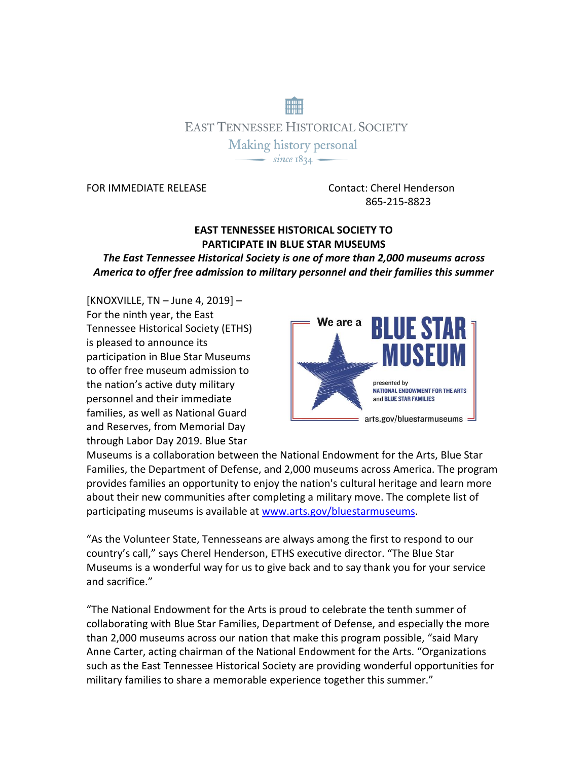# **EAST TENNESSEE HISTORICAL SOCIETY** Making history personal  $\overline{\phantom{0}}$  since 1834  $\overline{\phantom{0}}$

FOR IMMEDIATE RELEASE Contact: Cherel Henderson 865-215-8823

## **EAST TENNESSEE HISTORICAL SOCIETY TO PARTICIPATE IN BLUE STAR MUSEUMS**

*The East Tennessee Historical Society is one of more than 2,000 museums across America to offer free admission to military personnel and their families this summer* 

[KNOXVILLE, TN – June 4, 2019] – For the ninth year, the East Tennessee Historical Society (ETHS) is pleased to announce its participation in Blue Star Museums to offer free museum admission to the nation's active duty military personnel and their immediate families, as well as National Guard and Reserves, from Memorial Day through Labor Day 2019. Blue Star



Museums is a collaboration between the National Endowment for the Arts, Blue Star Families, the Department of Defense, and 2,000 museums across America. The program provides families an opportunity to enjoy the nation's cultural heritage and learn more about their new communities after completing a military move. The complete list of participating museums is available a[t www.arts.gov/bluestarmuseums.](http://www.arts.gov/bluestarmuseums)

"As the Volunteer State, Tennesseans are always among the first to respond to our country's call," says Cherel Henderson, ETHS executive director. "The Blue Star Museums is a wonderful way for us to give back and to say thank you for your service and sacrifice."

"The National Endowment for the Arts is proud to celebrate the tenth summer of collaborating with Blue Star Families, Department of Defense, and especially the more than 2,000 museums across our nation that make this program possible, "said Mary Anne Carter, acting chairman of the National Endowment for the Arts. "Organizations such as the East Tennessee Historical Society are providing wonderful opportunities for military families to share a memorable experience together this summer."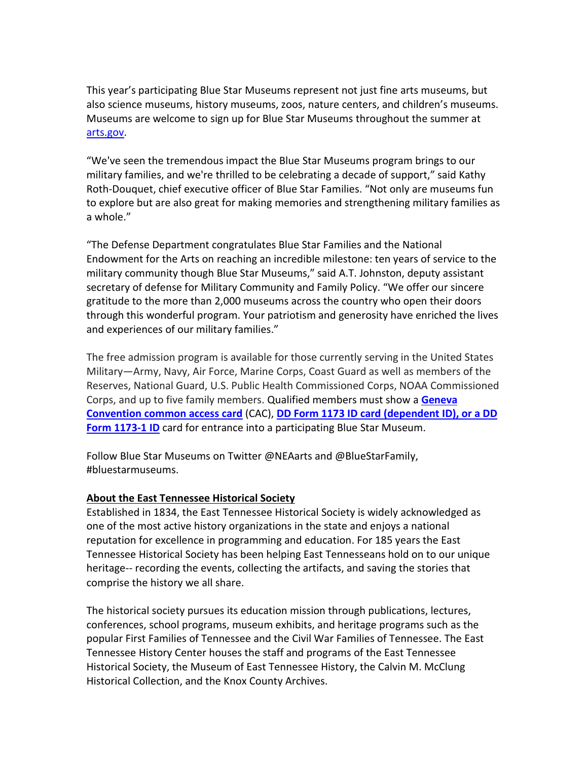This year's participating Blue Star Museums represent not just fine arts museums, but also science museums, history museums, zoos, nature centers, and children's museums. Museums are welcome to sign up for Blue Star Museums throughout the summer at [arts.gov.](https://apps.nea.gov/bluestarsignup/mainpage.aspx)

"We've seen the tremendous impact the Blue Star Museums program brings to our military families, and we're thrilled to be celebrating a decade of support," said Kathy Roth-Douquet, chief executive officer of Blue Star Families. "Not only are museums fun to explore but are also great for making memories and strengthening military families as a whole."

"The Defense Department congratulates Blue Star Families and the National Endowment for the Arts on reaching an incredible milestone: ten years of service to the military community though Blue Star Museums," said A.T. Johnston, deputy assistant secretary of defense for Military Community and Family Policy. "We offer our sincere gratitude to the more than 2,000 museums across the country who open their doors through this wonderful program. Your patriotism and generosity have enriched the lives and experiences of our military families."

The free admission program is available for those currently serving in the United States Military—Army, Navy, Air Force, Marine Corps, Coast Guard as well as members of the Reserves, National Guard, U.S. Public Health Commissioned Corps, NOAA Commissioned Corps, and up to five family members. Qualified members must show a **[Geneva](http://www.cac.mil/common-access-card/) [Convention](http://www.cac.mil/common-access-card/) common access card** (CAC), **DD Form 1173 ID card [\(dependent](http://www.cac.mil/uniformed-services-id-card/) ID), or a DD Form [1173-1](http://www.cac.mil/uniformed-services-id-card/) ID** card for entrance into a participating Blue Star Museum.

Follow Blue Star Museums on Twitter @NEAarts and @BlueStarFamily, #bluestarmuseums.

#### **About the East Tennessee Historical Society**

Established in 1834, the East Tennessee Historical Society is widely acknowledged as one of the most active history organizations in the state and enjoys a national reputation for excellence in programming and education. For 185 years the East Tennessee Historical Society has been helping East Tennesseans hold on to our unique heritage-- recording the events, collecting the artifacts, and saving the stories that comprise the history we all share.

The historical society pursues its education mission through publications, lectures, conferences, school programs, museum exhibits, and heritage programs such as the popular First Families of Tennessee and the Civil War Families of Tennessee. The East Tennessee History Center houses the staff and programs of the East Tennessee Historical Society, the Museum of East Tennessee History, the Calvin M. McClung Historical Collection, and the Knox County Archives.